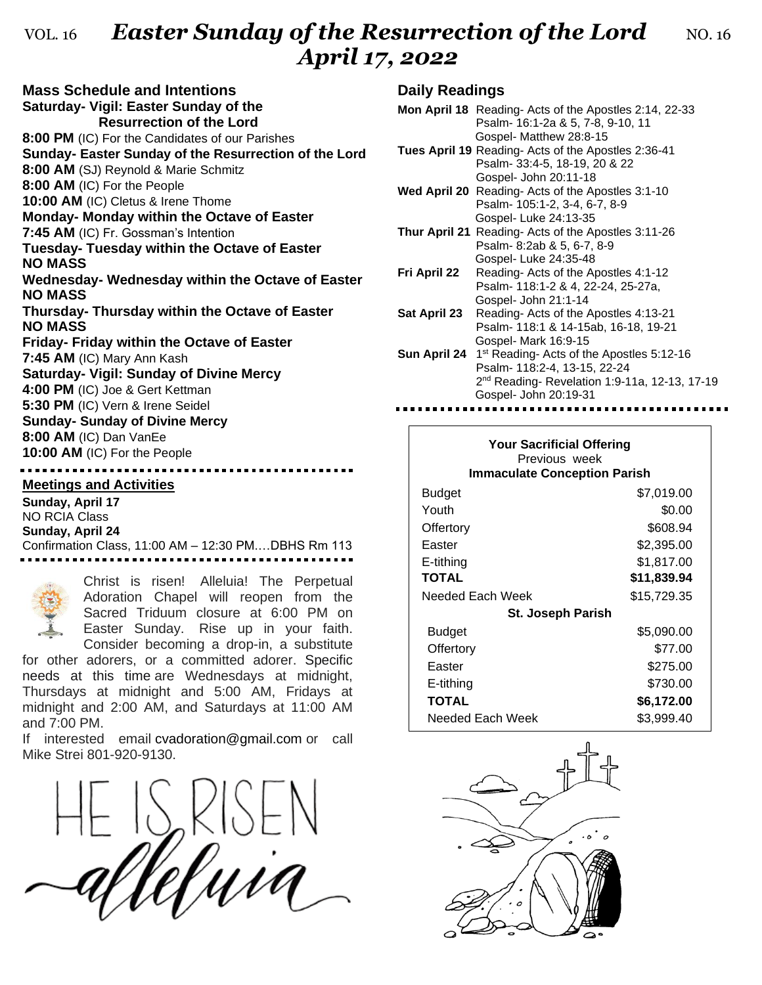## VOL. 16 **Easter Sunday of the Resurrection of the Lord** NO. 16 *April 17, 2022*

**Mass Schedule and Intentions Saturday- Vigil: Easter Sunday of the Resurrection of the Lord 8:00 PM** (IC) For the Candidates of our Parishes **Sunday- Easter Sunday of the Resurrection of the Lord 8:00 AM** (SJ) Reynold & Marie Schmitz **8:00 AM** (IC) For the People **10:00 AM** (IC) Cletus & Irene Thome **Monday- Monday within the Octave of Easter 7:45 AM** (IC) Fr. Gossman's Intention **Tuesday- Tuesday within the Octave of Easter NO MASS Wednesday- Wednesday within the Octave of Easter NO MASS Thursday- Thursday within the Octave of Easter NO MASS Friday- Friday within the Octave of Easter 7:45 AM** (IC) Mary Ann Kash **Saturday- Vigil: Sunday of Divine Mercy 4:00 PM** (IC) Joe & Gert Kettman **5:30 PM** (IC) Vern & Irene Seidel **Sunday- Sunday of Divine Mercy 8:00 AM** (IC) Dan VanEe **10:00 AM** (IC) For the People

#### **Meetings and Activities**

**Sunday, April 17** NO RCIA Class **Sunday, April 24** Confirmation Class, 11:00 AM – 12:30 PM.…DBHS Rm 113



Christ is risen! Alleluia! The Perpetual Adoration Chapel will reopen from the Sacred Triduum closure at 6:00 PM on Easter Sunday. Rise up in your faith. Consider becoming a drop-in, a substitute

for other adorers, or a committed adorer. Specific needs at this time are Wednesdays at midnight, Thursdays at midnight and 5:00 AM, Fridays at midnight and 2:00 AM, and Saturdays at 11:00 AM and 7:00 PM.

If interested email [cvadoration@gmail.com](mailto:cvadoration@gmail.com) or call Mike Strei 801-920-9130.



#### **Daily Readings**

|              | <b>Mon April 18</b> Reading-Acts of the Apostles 2:14, 22-33 |
|--------------|--------------------------------------------------------------|
|              | Psalm- 16:1-2a & 5, 7-8, 9-10, 11                            |
|              | Gospel- Matthew 28:8-15                                      |
|              | Tues April 19 Reading- Acts of the Apostles 2:36-41          |
|              | Psalm- 33:4-5, 18-19, 20 & 22                                |
|              | Gospel- John 20:11-18                                        |
|              | <b>Wed April 20</b> Reading- Acts of the Apostles 3:1-10     |
|              | Psalm- 105:1-2, 3-4, 6-7, 8-9                                |
|              | Gospel- Luke 24:13-35                                        |
|              | Thur April 21 Reading- Acts of the Apostles 3:11-26          |
|              | Psalm- 8:2ab & 5, 6-7, 8-9                                   |
|              | Gospel- Luke 24:35-48                                        |
| Fri April 22 | Reading-Acts of the Apostles 4:1-12                          |
|              | Psalm- 118:1-2 & 4, 22-24, 25-27a,                           |
|              | Gospel- John 21:1-14                                         |
| Sat April 23 | Reading- Acts of the Apostles 4:13-21                        |
|              | Psalm- 118:1 & 14-15ab, 16-18, 19-21                         |
|              | Gospel- Mark 16:9-15                                         |
| Sun April 24 | 1 <sup>st</sup> Reading- Acts of the Apostles 5:12-16        |
|              | Psalm- 118:2-4, 13-15, 22-24                                 |
|              | 2 <sup>nd</sup> Reading-Revelation 1:9-11a, 12-13, 17-19     |
|              | Gospel- John 20:19-31                                        |
|              |                                                              |

| <b>Your Sacrificial Offering</b><br>Previous week<br><b>Immaculate Conception Parish</b> |             |  |  |
|------------------------------------------------------------------------------------------|-------------|--|--|
| Budget                                                                                   | \$7,019.00  |  |  |
| Youth                                                                                    | \$0.00      |  |  |
| Offertory                                                                                | \$608.94    |  |  |
| Easter                                                                                   | \$2,395.00  |  |  |
| E-tithing                                                                                | \$1,817.00  |  |  |
| <b>TOTAL</b>                                                                             | \$11,839.94 |  |  |
| Needed Each Week                                                                         | \$15,729.35 |  |  |
| <b>St. Joseph Parish</b>                                                                 |             |  |  |
| Budget                                                                                   | \$5,090.00  |  |  |
| Offertory                                                                                | \$77.00     |  |  |
| Easter                                                                                   | \$275.00    |  |  |
| E-tithing                                                                                | \$730.00    |  |  |
| <b>TOTAL</b>                                                                             | \$6,172.00  |  |  |
| Needed Each Week                                                                         | \$3,999.40  |  |  |